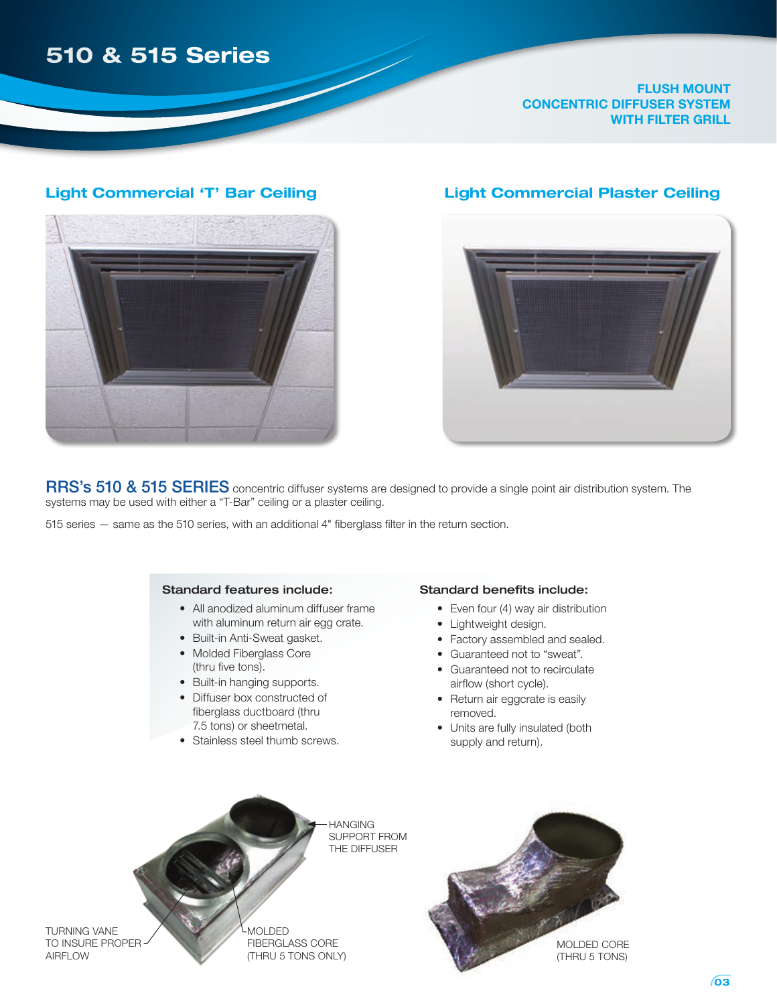# **510 & 515 Series**

**flush mount concentric diffuser system with filter grill**

#### **Light Commercial 'T' Bar Ceiling Light Commercial Plaster Ceiling**





RRS's 510 & 515 SERIES concentric diffuser systems are designed to provide a single point air distribution system. The systems may be used with either a "T-Bar" ceiling or a plaster ceiling.

**HANGING** 

the diffuser

515 series — same as the 510 series, with an additional 4" fiberglass filter in the return section.

#### Standard features include:

- All anodized aluminum diffuser frame with aluminum return air egg crate.
- Built-in Anti-Sweat gasket.
- Molded Fiberglass Core (thru five tons).
- Built-in hanging supports.
- Diffuser box constructed of fiberglass ductboard (thru 7.5 tons) or sheetmetal.
- Stainless steel thumb screws.

#### Standard benefits include:

- Even four (4) way air distribution
- Lightweight design.
- Factory assembled and sealed.
- Guaranteed not to "sweat".
- Guaranteed not to recirculate airflow (short cycle).
- Return air eggcrate is easily removed.
- Units are fully insulated (both supply and return).

turning vane TO INSURE PROPER **AIRFLOW** 

molded fiberglass CORE (thru 5 tons only)

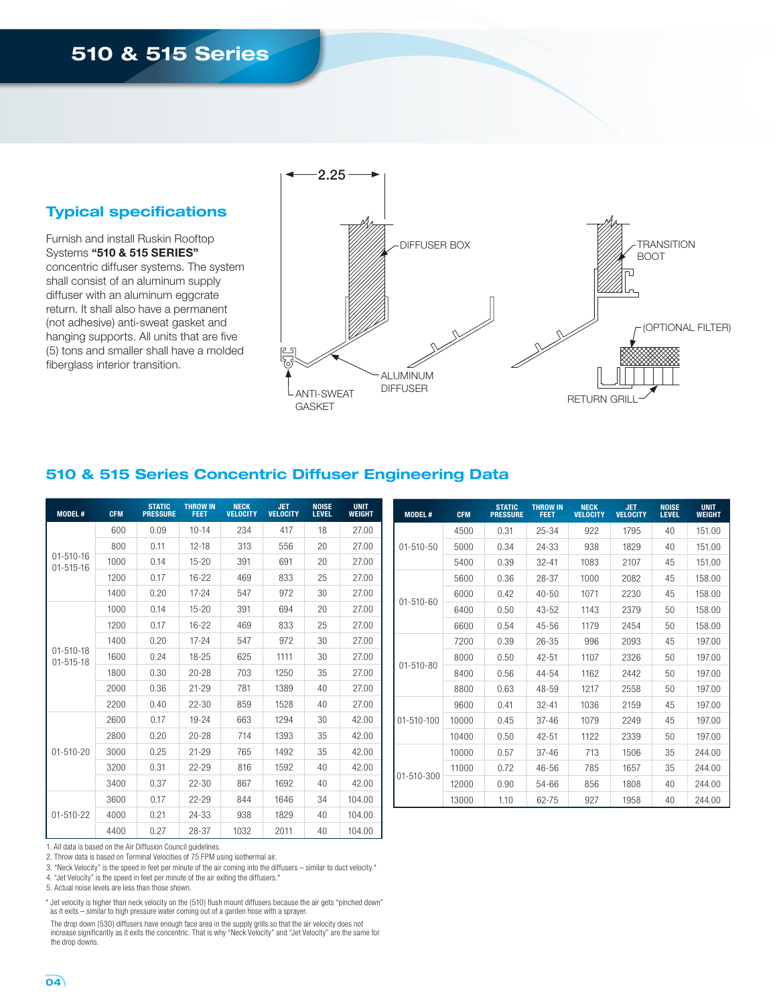# **510 & 515 Series**

#### **Typical specifications**

Furnish and install Ruskin Rooftop Systems **"510 & 515 Series"** concentric diffuser systems. The system shall consist of an aluminum supply diffuser with an aluminum eggcrate return. It shall also have a permanent (not adhesive) anti-sweat gasket and hanging supports. All units that are five (5) tons and smaller shall have a molded fiberglass interior transition.



## **510 & 515 Series Concentric Diffuser Engineering Data**

| <b>MODEL#</b>                      | <b>CFM</b> | <b>STATIC</b><br><b>PRESSURE</b> | <b>THROW IN</b><br><b>FEET</b> | <b>NECK</b><br><b>VELOCITY</b> | <b>JET</b><br><b>VELOCITY</b> | <b>NOISE</b><br><b>LEVEL</b> | <b>UNIT</b><br><b>WEIGHT</b> |
|------------------------------------|------------|----------------------------------|--------------------------------|--------------------------------|-------------------------------|------------------------------|------------------------------|
|                                    | 600        | 0.09                             | $10 - 14$                      | 234                            | 417                           | 18                           | 27.00                        |
|                                    | 800        | 0.11                             | $12 - 18$                      | 313                            | 556                           | 20                           | 27.00                        |
| $01 - 510 - 16$<br>$01 - 515 - 16$ | 1000       | 0.14                             | $15 - 20$                      | 391                            | 691                           | 20                           | 27.00                        |
|                                    | 1200       | 0.17                             | $16-22$                        | 469                            | 833                           | 25                           | 27.00                        |
|                                    | 1400       | 0.20                             | $17 - 24$                      | 547                            | 972                           | 30                           | 27.00                        |
|                                    | 1000       | 0.14                             | $15 - 20$                      | 391                            | 694                           | 20                           | 27.00                        |
|                                    | 1200       | 0.17                             | $16-22$                        | 469                            | 833                           | 25                           | 27.00                        |
|                                    | 1400       | 0.20                             | $17 - 24$                      | 547                            | 972                           | 30                           | 27.00                        |
| $01 - 510 - 18$<br>$01 - 515 - 18$ | 1600       | 0.24                             | $18 - 25$                      | 625                            | 1111                          | 30                           | 27.00                        |
|                                    | 1800       | 0.30                             | $20 - 28$                      | 703                            | 1250                          | 35                           | 27.00                        |
|                                    | 2000       | 0.36                             | $21 - 29$                      | 781                            | 1389                          | 40                           | 27.00                        |
|                                    | 2200       | 0.40                             | $22 - 30$                      | 859                            | 1528                          | 40                           | 27.00                        |
|                                    | 2600       | 0.17                             | $19 - 24$                      | 663                            | 1294                          | 30                           | 42.00                        |
|                                    | 2800       | 0.20                             | $20 - 28$                      | 714                            | 1393                          | 35                           | 42.00                        |
| $01 - 510 - 20$                    | 3000       | 0.25                             | $21 - 29$                      | 765                            | 1492                          | 35                           | 42.00                        |
|                                    | 3200       | 0.31                             | $22 - 29$                      | 816                            | 1592                          | 40                           | 42.00                        |
|                                    | 3400       | 0.37                             | 22-30                          | 867                            | 1692                          | 40                           | 42.00                        |
|                                    | 3600       | 0.17                             | $22 - 29$                      | 844                            | 1646                          | 34                           | 104.00                       |
| $01 - 510 - 22$                    | 4000       | 0.21                             | 24-33                          | 938                            | 1829                          | 40                           | 104.00                       |
|                                    | 4400       | 0.27                             | 28-37                          | 1032                           | 2011                          | 40                           | 104.00                       |

| <b>MODEL#</b>    | <b>CFM</b> | <b>STATIC</b><br><b>PRESSURE</b> | <b>THROW IN</b><br><b>FEET</b> | <b>NECK</b><br><b>VELOCITY</b> | <b>JET</b><br><b>VELOCITY</b> | <b>NOISE</b><br><b>LEVEL</b> | <b>UNIT</b><br><b>WEIGHT</b> |
|------------------|------------|----------------------------------|--------------------------------|--------------------------------|-------------------------------|------------------------------|------------------------------|
|                  | 4500       | 0.31                             | 25-34                          | 922                            | 1795                          | 40                           | 151.00                       |
| $01 - 510 - 50$  | 5000       | 0.34                             | 24-33                          | 938                            | 1829                          | 40                           | 151.00                       |
|                  | 5400       | 0.39                             | $32 - 41$                      | 1083                           | 2107                          | 45                           | 151.00                       |
|                  | 5600       | 0.36                             | 28-37                          | 1000                           | 2082                          | 45                           | 158.00                       |
| $01 - 510 - 60$  | 6000       | 0.42                             | $40 - 50$                      | 1071                           | 2230                          | 45                           | 158.00                       |
|                  | 6400       | 0.50                             | $43 - 52$                      | 1143                           | 2379                          | 50                           | 158.00                       |
|                  | 6600       | 0.54                             | $45 - 56$                      | 1179                           | 2454                          | 50                           | 158.00                       |
| $01 - 510 - 80$  | 7200       | 0.39                             | $26 - 35$                      | 996                            | 2093                          | 45                           | 197.00                       |
|                  | 8000       | 0.50                             | $42 - 51$                      | 1107                           | 2326                          | 50                           | 197.00                       |
|                  | 8400       | 0.56                             | 44-54                          | 1162                           | 2442                          | 50                           | 197.00                       |
|                  | 8800       | 0.63                             | 48-59                          | 1217                           | 2558                          | 50                           | 197.00                       |
|                  | 9600       | 0.41                             | $32 - 41$                      | 1036                           | 2159                          | 45                           | 197.00                       |
| $01 - 510 - 100$ | 10000      | 0.45                             | $37 - 46$                      | 1079                           | 2249                          | 45                           | 197.00                       |
|                  | 10400      | 0.50                             | $42 - 51$                      | 1122                           | 2339                          | 50                           | 197.00                       |
|                  | 10000      | 0.57                             | $37 - 46$                      | 713                            | 1506                          | 35                           | 244.00                       |
|                  | 11000      | 0.72                             | $46 - 56$                      | 785                            | 1657                          | 35                           | 244.00                       |
| $01 - 510 - 300$ | 12000      | 0.90                             | 54-66                          | 856                            | 1808                          | 40                           | 244.00                       |
|                  | 13000      | 1.10                             | 62-75                          | 927                            | 1958                          | 40                           | 244.00                       |

1. All data is based on the Air Diffusion Council guidelines.

2. Throw data is based on Terminal Velocities of 75 FPM using isothermal air.

3. "Neck Velocity" is the speed in feet per minute of the air coming into the diffusers – similar to duct velocity.\*

4. "Jet Velocity" is the speed in feet per minute of the air exiting the diffusers.\*

5. Actual noise levels are less than those shown.

\* Jet velocity is higher than neck velocity on the (510) flush mount diffusers because the air gets "pinched down" as it exits – similar to high pressure water coming out of a garden hose with a sprayer.

 The drop down (530) diffusers have enough face area in the supply grills so that the air velocity does not increase significantly as it exits the concentric. That is why "Neck Velocity" and "Jet Velocity" are the same for the drop downs.